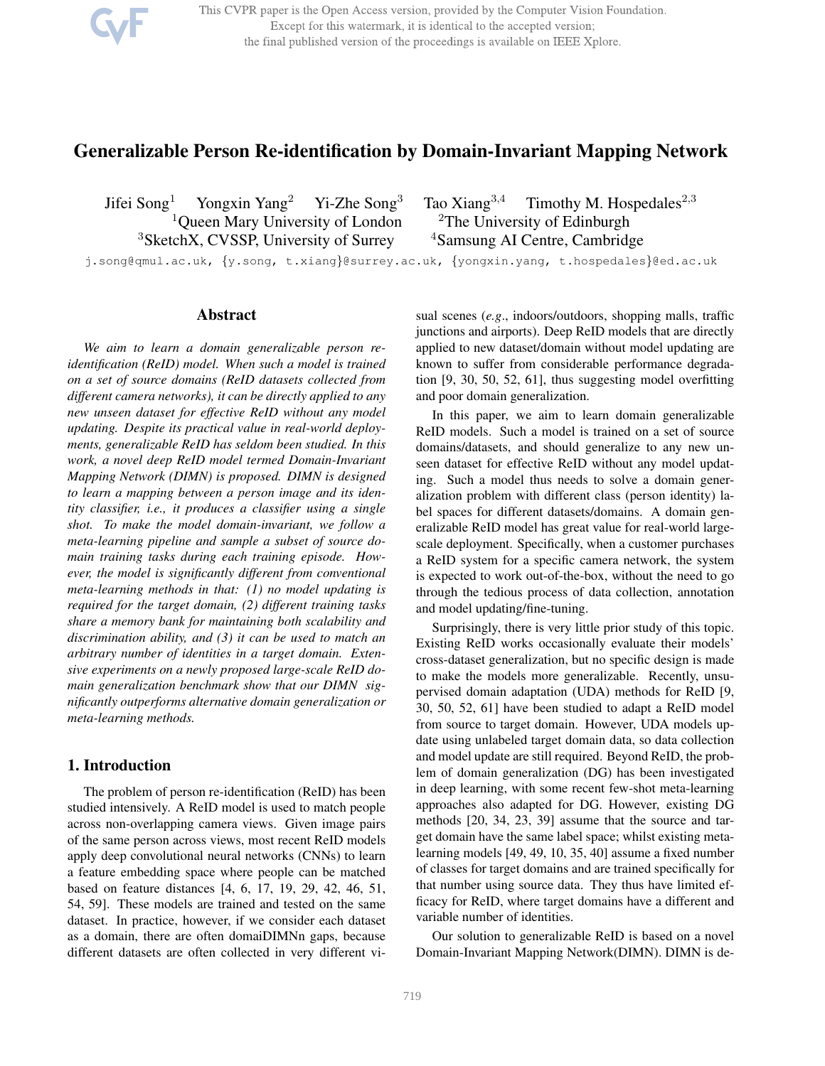This CVPR paper is the Open Access version, provided by the Computer Vision Foundation. Except for this watermark, it is identical to the accepted version; the final published version of the proceedings is available on IEEE Xplore.

# Generalizable Person Re-identification by Domain-Invariant Mapping Network

Jifei Song<sup>1</sup> Yongxin Yang<sup>2</sup> Yi-Zhe Song<sup>3</sup> Tao Xiang<sup>3,4</sup> Timothy M. Hospedales<sup>2,3</sup> <sup>1</sup>Queen Mary University of London  $2$ <sup>2</sup>The University of Edinburgh <sup>3</sup>SketchX, CVSSP, University of Surrey <sup>4</sup>Samsung AI Centre, Cambridge

j.song@qmul.ac.uk, {y.song, t.xiang}@surrey.ac.uk, {yongxin.yang, t.hospedales}@ed.ac.uk

### Abstract

*We aim to learn a domain generalizable person reidentification (ReID) model. When such a model is trained on a set of source domains (ReID datasets collected from different camera networks), it can be directly applied to any new unseen dataset for effective ReID without any model updating. Despite its practical value in real-world deployments, generalizable ReID has seldom been studied. In this work, a novel deep ReID model termed Domain-Invariant Mapping Network (DIMN) is proposed. DIMN is designed to learn a mapping between a person image and its identity classifier, i.e., it produces a classifier using a single shot. To make the model domain-invariant, we follow a meta-learning pipeline and sample a subset of source domain training tasks during each training episode. However, the model is significantly different from conventional meta-learning methods in that: (1) no model updating is required for the target domain, (2) different training tasks share a memory bank for maintaining both scalability and discrimination ability, and (3) it can be used to match an arbitrary number of identities in a target domain. Extensive experiments on a newly proposed large-scale ReID domain generalization benchmark show that our DIMN significantly outperforms alternative domain generalization or meta-learning methods.*

# 1. Introduction

The problem of person re-identification (ReID) has been studied intensively. A ReID model is used to match people across non-overlapping camera views. Given image pairs of the same person across views, most recent ReID models apply deep convolutional neural networks (CNNs) to learn a feature embedding space where people can be matched based on feature distances [4, 6, 17, 19, 29, 42, 46, 51, 54, 59]. These models are trained and tested on the same dataset. In practice, however, if we consider each dataset as a domain, there are often domaiDIMNn gaps, because different datasets are often collected in very different visual scenes (*e.g*., indoors/outdoors, shopping malls, traffic junctions and airports). Deep ReID models that are directly applied to new dataset/domain without model updating are known to suffer from considerable performance degradation [9, 30, 50, 52, 61], thus suggesting model overfitting and poor domain generalization.

In this paper, we aim to learn domain generalizable ReID models. Such a model is trained on a set of source domains/datasets, and should generalize to any new unseen dataset for effective ReID without any model updating. Such a model thus needs to solve a domain generalization problem with different class (person identity) label spaces for different datasets/domains. A domain generalizable ReID model has great value for real-world largescale deployment. Specifically, when a customer purchases a ReID system for a specific camera network, the system is expected to work out-of-the-box, without the need to go through the tedious process of data collection, annotation and model updating/fine-tuning.

Surprisingly, there is very little prior study of this topic. Existing ReID works occasionally evaluate their models' cross-dataset generalization, but no specific design is made to make the models more generalizable. Recently, unsupervised domain adaptation (UDA) methods for ReID [9, 30, 50, 52, 61] have been studied to adapt a ReID model from source to target domain. However, UDA models update using unlabeled target domain data, so data collection and model update are still required. Beyond ReID, the problem of domain generalization (DG) has been investigated in deep learning, with some recent few-shot meta-learning approaches also adapted for DG. However, existing DG methods [20, 34, 23, 39] assume that the source and target domain have the same label space; whilst existing metalearning models [49, 49, 10, 35, 40] assume a fixed number of classes for target domains and are trained specifically for that number using source data. They thus have limited efficacy for ReID, where target domains have a different and variable number of identities.

Our solution to generalizable ReID is based on a novel Domain-Invariant Mapping Network(DIMN). DIMN is de-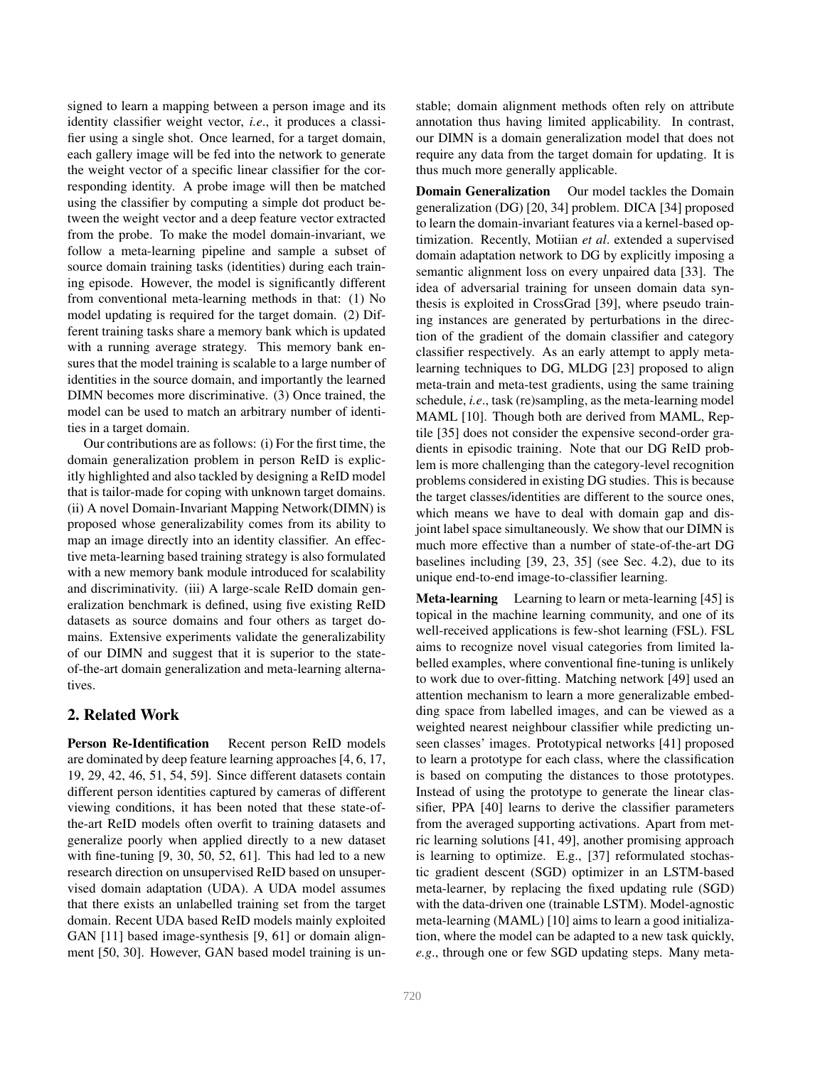signed to learn a mapping between a person image and its identity classifier weight vector, *i.e*., it produces a classifier using a single shot. Once learned, for a target domain, each gallery image will be fed into the network to generate the weight vector of a specific linear classifier for the corresponding identity. A probe image will then be matched using the classifier by computing a simple dot product between the weight vector and a deep feature vector extracted from the probe. To make the model domain-invariant, we follow a meta-learning pipeline and sample a subset of source domain training tasks (identities) during each training episode. However, the model is significantly different from conventional meta-learning methods in that: (1) No model updating is required for the target domain. (2) Different training tasks share a memory bank which is updated with a running average strategy. This memory bank ensures that the model training is scalable to a large number of identities in the source domain, and importantly the learned DIMN becomes more discriminative. (3) Once trained, the model can be used to match an arbitrary number of identities in a target domain.

Our contributions are as follows: (i) For the first time, the domain generalization problem in person ReID is explicitly highlighted and also tackled by designing a ReID model that is tailor-made for coping with unknown target domains. (ii) A novel Domain-Invariant Mapping Network(DIMN) is proposed whose generalizability comes from its ability to map an image directly into an identity classifier. An effective meta-learning based training strategy is also formulated with a new memory bank module introduced for scalability and discriminativity. (iii) A large-scale ReID domain generalization benchmark is defined, using five existing ReID datasets as source domains and four others as target domains. Extensive experiments validate the generalizability of our DIMN and suggest that it is superior to the stateof-the-art domain generalization and meta-learning alternatives.

# 2. Related Work

Person Re-Identification Recent person ReID models are dominated by deep feature learning approaches [4, 6, 17, 19, 29, 42, 46, 51, 54, 59]. Since different datasets contain different person identities captured by cameras of different viewing conditions, it has been noted that these state-ofthe-art ReID models often overfit to training datasets and generalize poorly when applied directly to a new dataset with fine-tuning [9, 30, 50, 52, 61]. This had led to a new research direction on unsupervised ReID based on unsupervised domain adaptation (UDA). A UDA model assumes that there exists an unlabelled training set from the target domain. Recent UDA based ReID models mainly exploited GAN [11] based image-synthesis [9, 61] or domain alignment [50, 30]. However, GAN based model training is unstable; domain alignment methods often rely on attribute annotation thus having limited applicability. In contrast, our DIMN is a domain generalization model that does not require any data from the target domain for updating. It is thus much more generally applicable.

**Domain Generalization** Our model tackles the Domain generalization (DG) [20, 34] problem. DICA [34] proposed to learn the domain-invariant features via a kernel-based optimization. Recently, Motiian *et al*. extended a supervised domain adaptation network to DG by explicitly imposing a semantic alignment loss on every unpaired data [33]. The idea of adversarial training for unseen domain data synthesis is exploited in CrossGrad [39], where pseudo training instances are generated by perturbations in the direction of the gradient of the domain classifier and category classifier respectively. As an early attempt to apply metalearning techniques to DG, MLDG [23] proposed to align meta-train and meta-test gradients, using the same training schedule, *i.e*., task (re)sampling, as the meta-learning model MAML [10]. Though both are derived from MAML, Reptile [35] does not consider the expensive second-order gradients in episodic training. Note that our DG ReID problem is more challenging than the category-level recognition problems considered in existing DG studies. This is because the target classes/identities are different to the source ones, which means we have to deal with domain gap and disjoint label space simultaneously. We show that our DIMN is much more effective than a number of state-of-the-art DG baselines including [39, 23, 35] (see Sec. 4.2), due to its unique end-to-end image-to-classifier learning.

Meta-learning Learning to learn or meta-learning [45] is topical in the machine learning community, and one of its well-received applications is few-shot learning (FSL). FSL aims to recognize novel visual categories from limited labelled examples, where conventional fine-tuning is unlikely to work due to over-fitting. Matching network [49] used an attention mechanism to learn a more generalizable embedding space from labelled images, and can be viewed as a weighted nearest neighbour classifier while predicting unseen classes' images. Prototypical networks [41] proposed to learn a prototype for each class, where the classification is based on computing the distances to those prototypes. Instead of using the prototype to generate the linear classifier, PPA [40] learns to derive the classifier parameters from the averaged supporting activations. Apart from metric learning solutions [41, 49], another promising approach is learning to optimize. E.g., [37] reformulated stochastic gradient descent (SGD) optimizer in an LSTM-based meta-learner, by replacing the fixed updating rule (SGD) with the data-driven one (trainable LSTM). Model-agnostic meta-learning (MAML) [10] aims to learn a good initialization, where the model can be adapted to a new task quickly, *e.g*., through one or few SGD updating steps. Many meta-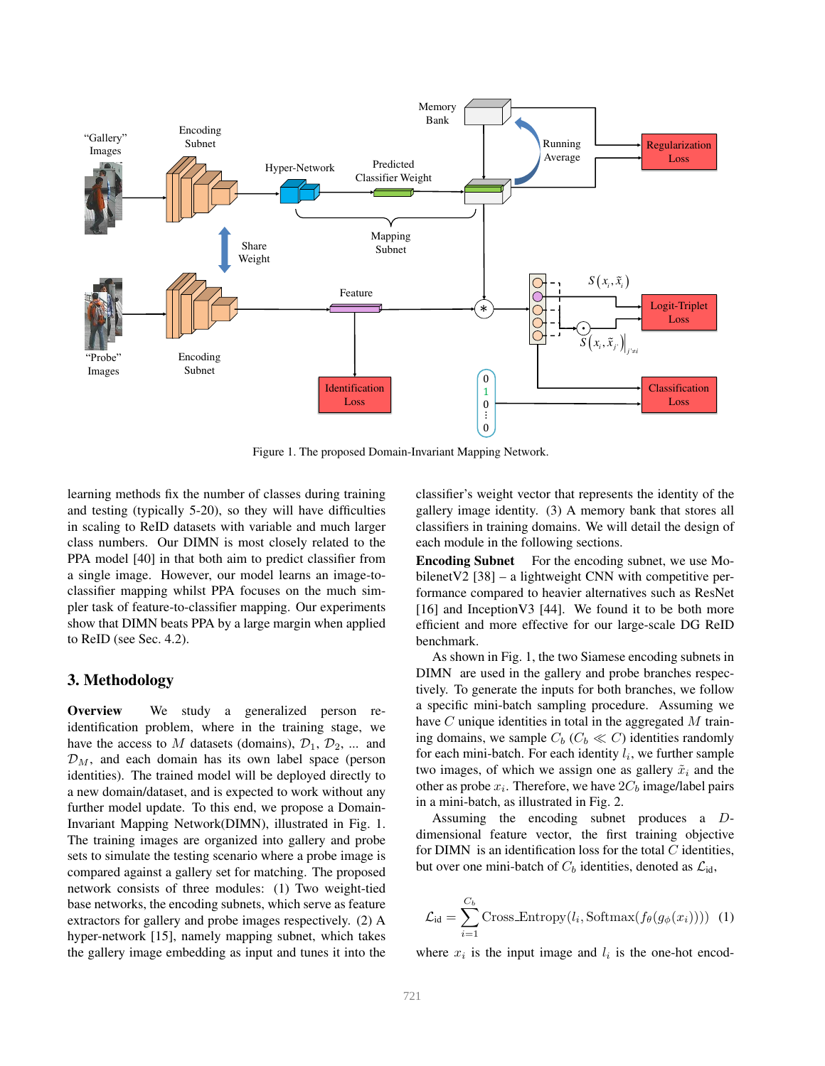

Figure 1. The proposed Domain-Invariant Mapping Network.

learning methods fix the number of classes during training and testing (typically 5-20), so they will have difficulties in scaling to ReID datasets with variable and much larger class numbers. Our DIMN is most closely related to the PPA model [40] in that both aim to predict classifier from a single image. However, our model learns an image-toclassifier mapping whilst PPA focuses on the much simpler task of feature-to-classifier mapping. Our experiments show that DIMN beats PPA by a large margin when applied to ReID (see Sec. 4.2).

# 3. Methodology

Overview We study a generalized person reidentification problem, where in the training stage, we have the access to M datasets (domains),  $\mathcal{D}_1$ ,  $\mathcal{D}_2$ , ... and  $\mathcal{D}_M$ , and each domain has its own label space (person identities). The trained model will be deployed directly to a new domain/dataset, and is expected to work without any further model update. To this end, we propose a Domain-Invariant Mapping Network(DIMN), illustrated in Fig. 1. The training images are organized into gallery and probe sets to simulate the testing scenario where a probe image is compared against a gallery set for matching. The proposed network consists of three modules: (1) Two weight-tied base networks, the encoding subnets, which serve as feature extractors for gallery and probe images respectively. (2) A hyper-network [15], namely mapping subnet, which takes the gallery image embedding as input and tunes it into the classifier's weight vector that represents the identity of the gallery image identity. (3) A memory bank that stores all classifiers in training domains. We will detail the design of each module in the following sections.

Encoding Subnet For the encoding subnet, we use MobilenetV2 [38] – a lightweight CNN with competitive performance compared to heavier alternatives such as ResNet [16] and Inception V3 [44]. We found it to be both more efficient and more effective for our large-scale DG ReID benchmark.

As shown in Fig. 1, the two Siamese encoding subnets in DIMN are used in the gallery and probe branches respectively. To generate the inputs for both branches, we follow a specific mini-batch sampling procedure. Assuming we have  $C$  unique identities in total in the aggregated  $M$  training domains, we sample  $C_b$  ( $C_b \ll C$ ) identities randomly for each mini-batch. For each identity  $l_i$ , we further sample two images, of which we assign one as gallery  $\tilde{x}_i$  and the other as probe  $x_i$ . Therefore, we have  $2C_b$  image/label pairs in a mini-batch, as illustrated in Fig. 2.

Assuming the encoding subnet produces a Ddimensional feature vector, the first training objective for DIMN is an identification loss for the total  $C$  identities, but over one mini-batch of  $C_b$  identities, denoted as  $\mathcal{L}_{id}$ ,

$$
\mathcal{L}_{\text{id}} = \sum_{i=1}^{C_b} \text{Cross\_Entropy}(l_i, \text{Softmax}(f_{\theta}(g_{\phi}(x_i)))) \quad (1)
$$

where  $x_i$  is the input image and  $l_i$  is the one-hot encod-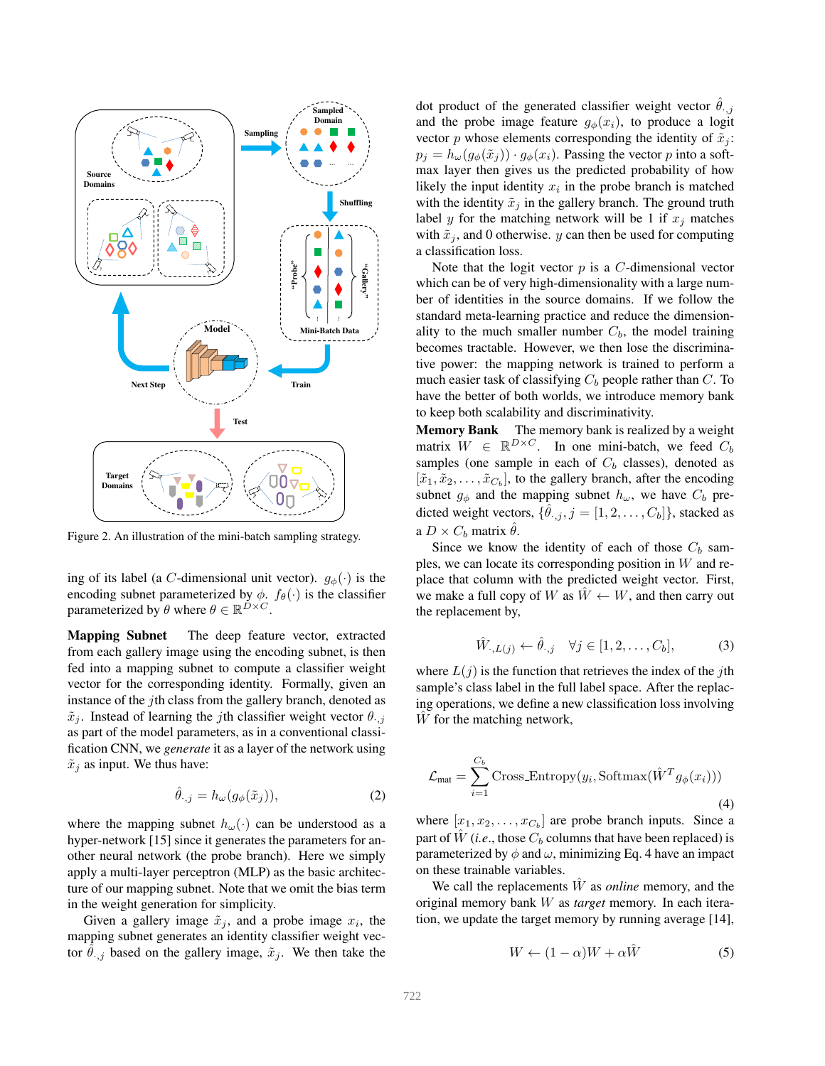

Figure 2. An illustration of the mini-batch sampling strategy.

ing of its label (a C-dimensional unit vector).  $g_{\phi}(\cdot)$  is the encoding subnet parameterized by  $\phi$ .  $f_{\theta}(\cdot)$  is the classifier parameterized by  $\theta$  where  $\theta \in \mathbb{R}^{\tilde{D} \times C}$ .

Mapping Subnet The deep feature vector, extracted from each gallery image using the encoding subnet, is then fed into a mapping subnet to compute a classifier weight vector for the corresponding identity. Formally, given an instance of the  $j$ th class from the gallery branch, denoted as  $\tilde{x}_j$ . Instead of learning the *j*th classifier weight vector  $\theta_{\cdot,j}$ as part of the model parameters, as in a conventional classification CNN, we *generate* it as a layer of the network using  $\tilde{x}_j$  as input. We thus have:

$$
\hat{\theta}_{\cdot,j} = h_{\omega}(g_{\phi}(\tilde{x}_j)),\tag{2}
$$

where the mapping subnet  $h_{\omega}(\cdot)$  can be understood as a hyper-network [15] since it generates the parameters for another neural network (the probe branch). Here we simply apply a multi-layer perceptron (MLP) as the basic architecture of our mapping subnet. Note that we omit the bias term in the weight generation for simplicity.

Given a gallery image  $\tilde{x}_j$ , and a probe image  $x_i$ , the mapping subnet generates an identity classifier weight vector  $\hat{\theta}_{\cdot,j}$  based on the gallery image,  $\tilde{x}_j$ . We then take the dot product of the generated classifier weight vector  $\theta_{\cdot,j}$ and the probe image feature  $g_{\phi}(x_i)$ , to produce a logit vector p whose elements corresponding the identity of  $\tilde{x}_i$ :  $p_j = h_{\omega}(g_{\phi}(\tilde{x}_j)) \cdot g_{\phi}(x_i)$ . Passing the vector p into a softmax layer then gives us the predicted probability of how likely the input identity  $x_i$  in the probe branch is matched with the identity  $\tilde{x}_j$  in the gallery branch. The ground truth label y for the matching network will be 1 if  $x_j$  matches with  $\tilde{x}_j$ , and 0 otherwise. y can then be used for computing a classification loss.

Note that the logit vector  $p$  is a  $C$ -dimensional vector which can be of very high-dimensionality with a large number of identities in the source domains. If we follow the standard meta-learning practice and reduce the dimensionality to the much smaller number  $C_b$ , the model training becomes tractable. However, we then lose the discriminative power: the mapping network is trained to perform a much easier task of classifying  $C_b$  people rather than  $C$ . To have the better of both worlds, we introduce memory bank to keep both scalability and discriminativity.

Memory Bank The memory bank is realized by a weight matrix  $W \in \mathbb{R}^{D \times C}$ . In one mini-batch, we feed  $C_b$ samples (one sample in each of  $C_b$  classes), denoted as  $[\tilde{x}_1, \tilde{x}_2, \dots, \tilde{x}_{C_b}]$ , to the gallery branch, after the encoding subnet  $g_{\phi}$  and the mapping subnet  $h_{\omega}$ , we have  $C_b$  predicted weight vectors,  $\{\hat{\theta}_{\cdot,j}, j = [1, 2, \dots, C_b]\}$ , stacked as a  $D \times C_b$  matrix  $\theta$ .

Since we know the identity of each of those  $C_b$  samples, we can locate its corresponding position in  $W$  and replace that column with the predicted weight vector. First, we make a full copy of W as  $\hat{W} \leftarrow W$ , and then carry out the replacement by,

$$
\hat{W}_{\cdot,L(j)} \leftarrow \hat{\theta}_{\cdot,j} \quad \forall j \in [1,2,\ldots,C_b],\tag{3}
$$

where  $L(j)$  is the function that retrieves the index of the jth sample's class label in the full label space. After the replacing operations, we define a new classification loss involving  $\hat{W}$  for the matching network,

$$
\mathcal{L}_{\text{mat}} = \sum_{i=1}^{C_b} \text{Cross\_Entropy}(y_i, \text{Softmax}(\hat{W}^T g_{\phi}(x_i)))
$$
\n(4)

where  $[x_1, x_2, \ldots, x_{C_b}]$  are probe branch inputs. Since a part of  $\hat{W}$  (*i.e.*, those  $C_b$  columns that have been replaced) is parameterized by  $\phi$  and  $\omega$ , minimizing Eq. 4 have an impact on these trainable variables.

We call the replacements  $\hat{W}$  as *online* memory, and the original memory bank W as *target* memory. In each iteration, we update the target memory by running average [14],

$$
W \leftarrow (1 - \alpha)W + \alpha \hat{W} \tag{5}
$$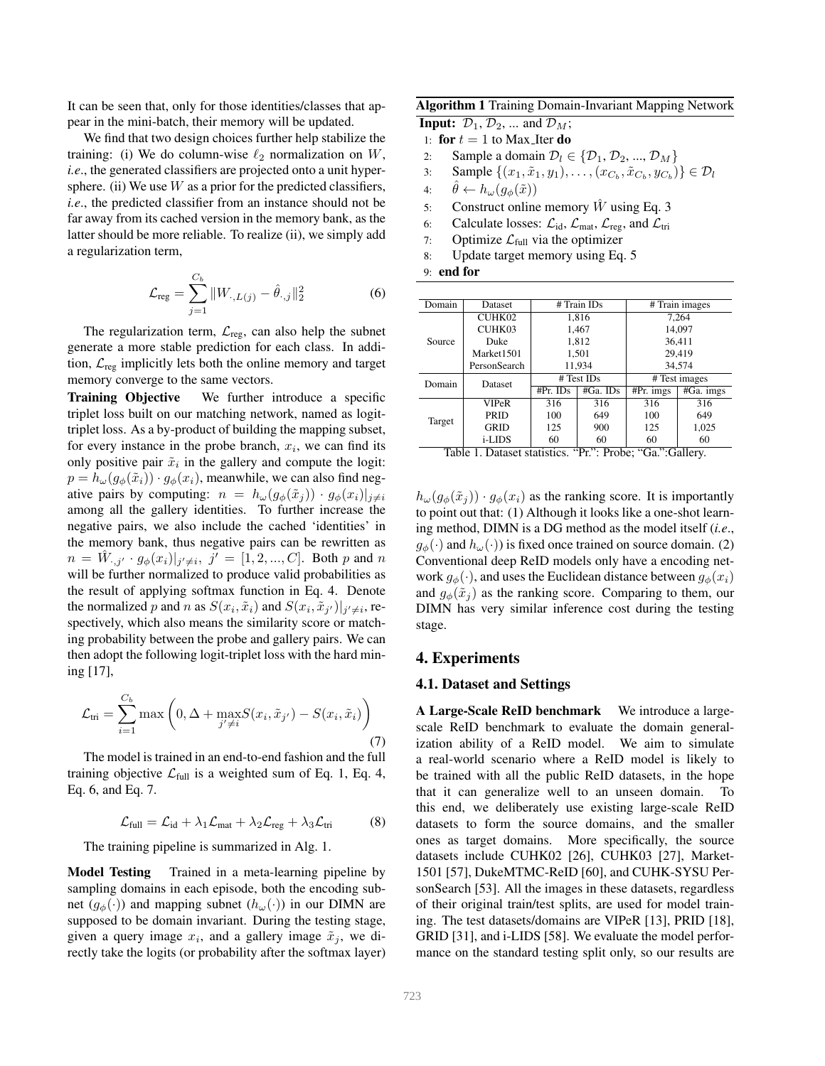It can be seen that, only for those identities/classes that appear in the mini-batch, their memory will be updated.

We find that two design choices further help stabilize the training: (i) We do column-wise  $\ell_2$  normalization on W, *i.e*., the generated classifiers are projected onto a unit hypersphere. (ii) We use  $W$  as a prior for the predicted classifiers, *i.e*., the predicted classifier from an instance should not be far away from its cached version in the memory bank, as the latter should be more reliable. To realize (ii), we simply add a regularization term,

$$
\mathcal{L}_{reg} = \sum_{j=1}^{C_b} ||W_{\cdot, L(j)} - \hat{\theta}_{\cdot, j}||_2^2
$$
 (6)

The regularization term,  $\mathcal{L}_{reg}$ , can also help the subnet generate a more stable prediction for each class. In addition,  $\mathcal{L}_{reg}$  implicitly lets both the online memory and target memory converge to the same vectors.

Training Objective We further introduce a specific triplet loss built on our matching network, named as logittriplet loss. As a by-product of building the mapping subset, for every instance in the probe branch,  $x_i$ , we can find its only positive pair  $\tilde{x}_i$  in the gallery and compute the logit:  $p = h_{\omega}(g_{\phi}(\tilde{x}_i)) \cdot g_{\phi}(x_i)$ , meanwhile, we can also find negative pairs by computing:  $n = h_{\omega}(g_{\phi}(\tilde{x}_j)) \cdot g_{\phi}(x_i)|_{j \neq i}$ among all the gallery identities. To further increase the negative pairs, we also include the cached 'identities' in the memory bank, thus negative pairs can be rewritten as  $n = \hat{W}_{\cdot,j'} \cdot g_{\phi}(x_i)|_{j' \neq i}, \, j' = [1, 2, ..., C].$  Both p and n will be further normalized to produce valid probabilities as the result of applying softmax function in Eq. 4. Denote the normalized p and n as  $S(x_i, \tilde{x}_i)$  and  $S(x_i, \tilde{x}_{j'})|_{j' \neq i}$ , respectively, which also means the similarity score or matching probability between the probe and gallery pairs. We can then adopt the following logit-triplet loss with the hard mining [17],

$$
\mathcal{L}_{\text{tri}} = \sum_{i=1}^{C_b} \max\left(0, \Delta + \max_{j' \neq i} S(x_i, \tilde{x}_{j'}) - S(x_i, \tilde{x}_i)\right) \tag{7}
$$

The model is trained in an end-to-end fashion and the full training objective  $\mathcal{L}_{\text{full}}$  is a weighted sum of Eq. 1, Eq. 4, Eq. 6, and Eq. 7.

$$
\mathcal{L}_{\text{full}} = \mathcal{L}_{\text{id}} + \lambda_1 \mathcal{L}_{\text{mat}} + \lambda_2 \mathcal{L}_{\text{reg}} + \lambda_3 \mathcal{L}_{\text{tri}} \tag{8}
$$

The training pipeline is summarized in Alg. 1.

Model Testing Trained in a meta-learning pipeline by sampling domains in each episode, both the encoding subnet  $(g_{\phi}(\cdot))$  and mapping subnet  $(h_{\omega}(\cdot))$  in our DIMN are supposed to be domain invariant. During the testing stage, given a query image  $x_i$ , and a gallery image  $\tilde{x}_j$ , we directly take the logits (or probability after the softmax layer) Algorithm 1 Training Domain-Invariant Mapping Network

**Input:**  $\mathcal{D}_1, \mathcal{D}_2, \dots$  and  $\mathcal{D}_M$ ;

- 1: for  $t = 1$  to Max Iter do
- 2: Sample a domain  $\mathcal{D}_l \in \{ \mathcal{D}_1, \mathcal{D}_2, ..., \mathcal{D}_M \}$
- 3: Sample  $\{(x_1, \tilde{x}_1, y_1), \ldots, (x_{C_b}, \tilde{x}_{C_b}, y_{C_b})\} \in \mathcal{D}_l$
- 4:  $\theta \leftarrow h_{\omega}(g_{\phi}(\tilde{x}))$
- 5: Construct online memory  $\hat{W}$  using Eq. 3
- 6: Calculate losses:  $\mathcal{L}_{id}$ ,  $\mathcal{L}_{mat}$ ,  $\mathcal{L}_{reg}$ , and  $\mathcal{L}_{tri}$
- 7: Optimize  $\mathcal{L}_{\text{full}}$  via the optimizer
- 8: Update target memory using Eq. 5
- 9: end for

| Domain                                                                               | Dataset      | # Train IDs |          | # Train images |           |  |
|--------------------------------------------------------------------------------------|--------------|-------------|----------|----------------|-----------|--|
|                                                                                      | CUHK02       |             | 1,816    | 7,264          |           |  |
|                                                                                      | CUHK03       |             | 1,467    | 14,097         |           |  |
| Source                                                                               | Duke         |             | 1,812    | 36,411         |           |  |
|                                                                                      | Market1501   | 1,501       |          | 29,419         |           |  |
|                                                                                      | PersonSearch | 11,934      |          | 34,574         |           |  |
| Domain                                                                               | Dataset      | # Test IDs  |          | # Test images  |           |  |
|                                                                                      |              | $#Pr.$ IDs  | #Ga. IDs | $#Pr.$ imgs    | #Ga. imgs |  |
|                                                                                      | <b>VIPeR</b> | 316         | 316      | 316            | 316       |  |
| Target                                                                               | PRID         | 100         | 649      | 100            | 649       |  |
|                                                                                      | <b>GRID</b>  | 125         | 900      | 125            | 1,025     |  |
|                                                                                      | i-LIDS       | 60          | 60       | 60             | 60        |  |
| $"D_{r}"$ Drober $"C_{2}"$ $C_{2}$ llary<br>Thula <sub>1</sub><br>Dotogat statistics |              |             |          |                |           |  |

Table 1. Dataset statistics. "Pr.": Probe; "Ga.":Gallery.

 $h_{\omega}(g_{\phi}(\tilde{x}_i)) \cdot g_{\phi}(x_i)$  as the ranking score. It is importantly to point out that: (1) Although it looks like a one-shot learning method, DIMN is a DG method as the model itself (*i.e*.,  $g_{\phi}(\cdot)$  and  $h_{\omega}(\cdot)$  is fixed once trained on source domain. (2) Conventional deep ReID models only have a encoding network  $g_{\phi}(\cdot)$ , and uses the Euclidean distance between  $g_{\phi}(x_i)$ and  $g_{\phi}(\tilde{x}_i)$  as the ranking score. Comparing to them, our DIMN has very similar inference cost during the testing stage.

## 4. Experiments

#### 4.1. Dataset and Settings

A Large-Scale ReID benchmark We introduce a largescale ReID benchmark to evaluate the domain generalization ability of a ReID model. We aim to simulate a real-world scenario where a ReID model is likely to be trained with all the public ReID datasets, in the hope that it can generalize well to an unseen domain. To this end, we deliberately use existing large-scale ReID datasets to form the source domains, and the smaller ones as target domains. More specifically, the source datasets include CUHK02 [26], CUHK03 [27], Market-1501 [57], DukeMTMC-ReID [60], and CUHK-SYSU PersonSearch [53]. All the images in these datasets, regardless of their original train/test splits, are used for model training. The test datasets/domains are VIPeR [13], PRID [18], GRID [31], and i-LIDS [58]. We evaluate the model performance on the standard testing split only, so our results are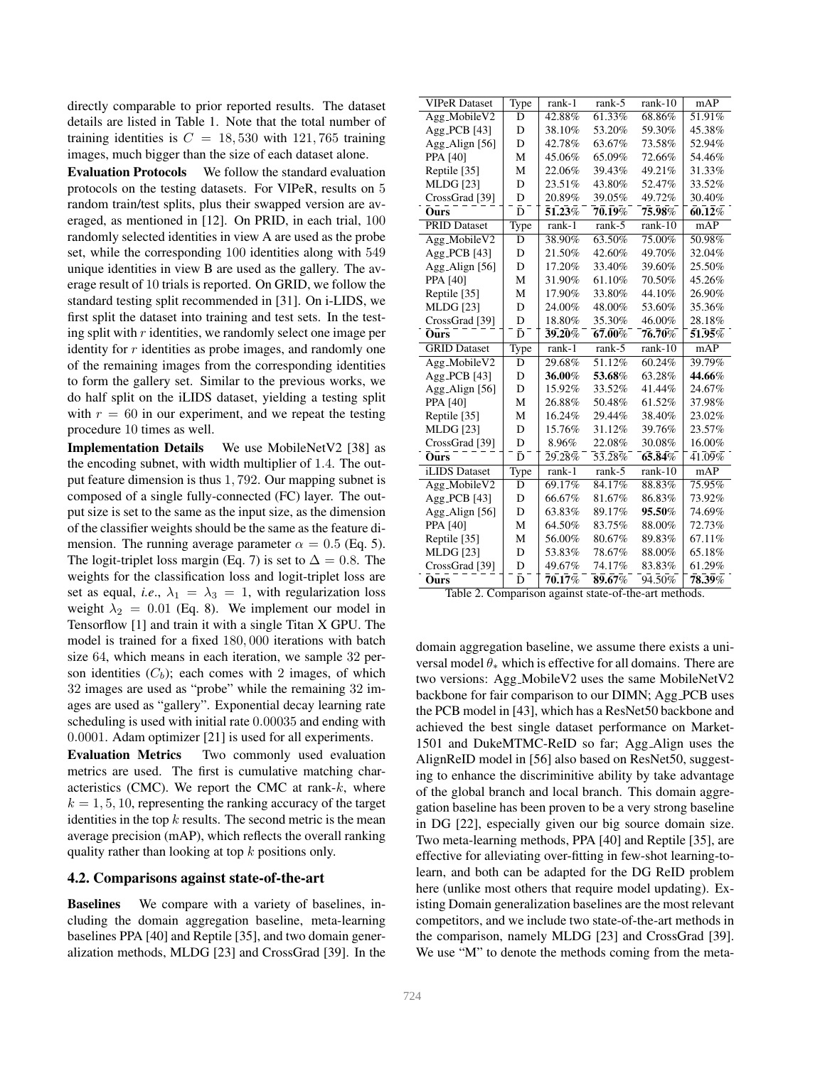directly comparable to prior reported results. The dataset details are listed in Table 1. Note that the total number of training identities is  $C = 18,530$  with 121,765 training images, much bigger than the size of each dataset alone.

Evaluation Protocols We follow the standard evaluation protocols on the testing datasets. For VIPeR, results on 5 random train/test splits, plus their swapped version are averaged, as mentioned in [12]. On PRID, in each trial, 100 randomly selected identities in view A are used as the probe set, while the corresponding 100 identities along with 549 unique identities in view B are used as the gallery. The average result of 10 trials is reported. On GRID, we follow the standard testing split recommended in [31]. On i-LIDS, we first split the dataset into training and test sets. In the testing split with  $r$  identities, we randomly select one image per identity for r identities as probe images, and randomly one of the remaining images from the corresponding identities to form the gallery set. Similar to the previous works, we do half split on the iLIDS dataset, yielding a testing split with  $r = 60$  in our experiment, and we repeat the testing procedure 10 times as well.

Implementation Details We use MobileNetV2 [38] as the encoding subnet, with width multiplier of 1.4. The output feature dimension is thus 1, 792. Our mapping subnet is composed of a single fully-connected (FC) layer. The output size is set to the same as the input size, as the dimension of the classifier weights should be the same as the feature dimension. The running average parameter  $\alpha = 0.5$  (Eq. 5). The logit-triplet loss margin (Eq. 7) is set to  $\Delta = 0.8$ . The weights for the classification loss and logit-triplet loss are set as equal, *i.e.*,  $\lambda_1 = \lambda_3 = 1$ , with regularization loss weight  $\lambda_2 = 0.01$  (Eq. 8). We implement our model in Tensorflow [1] and train it with a single Titan X GPU. The model is trained for a fixed 180, 000 iterations with batch size 64, which means in each iteration, we sample 32 person identities  $(C_b)$ ; each comes with 2 images, of which 32 images are used as "probe" while the remaining 32 images are used as "gallery". Exponential decay learning rate scheduling is used with initial rate 0.00035 and ending with 0.0001. Adam optimizer [21] is used for all experiments.

Evaluation Metrics Two commonly used evaluation metrics are used. The first is cumulative matching characteristics (CMC). We report the CMC at rank- $k$ , where  $k = 1, 5, 10$ , representing the ranking accuracy of the target identities in the top  $k$  results. The second metric is the mean average precision (mAP), which reflects the overall ranking quality rather than looking at top  $k$  positions only.

#### 4.2. Comparisons against state-of-the-art

Baselines We compare with a variety of baselines, including the domain aggregation baseline, meta-learning baselines PPA [40] and Reptile [35], and two domain generalization methods, MLDG [23] and CrossGrad [39]. In the

| <b>VIPeR Dataset</b>      | Type | rank-1                            | rank-5                                     | rank-10   | mAP             |
|---------------------------|------|-----------------------------------|--------------------------------------------|-----------|-----------------|
| Agg_MobileV2              | D    | 42.88%                            | 61.33%                                     | 68.86%    | 51.91%          |
| Agg_PCB $[43]$            | D    | 38.10%                            | 53.20%                                     | 59.30%    | 45.38%          |
| Agg_Align [56]            | D    | 42.78%                            | 63.67%                                     | 73.58%    | 52.94%          |
| PPA [40]                  | M    | 45.06%                            | 65.09%                                     | 72.66%    | 54.46%          |
| Reptile [35]              | M    | 22.06%                            | 39.43%                                     | 49.21%    | 31.33%          |
| <b>MLDG</b> [23]          | D    | 23.51%                            | 43.80%                                     | 52.47%    | 33.52%          |
| CrossGrad [39]            | D    | 20.89%                            | 39.05%                                     | 49.72%    | 30.40%          |
| Ours                      | Đ    | $\bar{5}\bar{1.2}\bar{3}\bar{\%}$ | $\bar{7}\bar{0}. \bar{1} \bar{9} \bar{\%}$ | $75.98\%$ | $60.12\%$       |
| <b>PRID Dataset</b>       | Type | rank-1                            | rank-5                                     | $rank-10$ | mAP             |
| Agg_MobileV2              | D    | 38.90%                            | 63.50%                                     | 75.00%    | 50.98%          |
| Agg_PCB [43]              | D    | 21.50%                            | 42.60%                                     | 49.70%    | 32.04%          |
| Agg_Align [56]            | D    | 17.20%                            | 33.40%                                     | 39.60%    | 25.50%          |
| <b>PPA</b> [40]           | M    | 31.90%                            | 61.10%                                     | 70.50%    | 45.26%          |
| Reptile [35]              | M    | 17.90%                            | 33.80%                                     | 44.10%    | 26.90%          |
| <b>MLDG</b> [23]          | D    | 24.00%                            | 48.00%                                     | 53.60%    | 35.36%          |
| CrossGrad [39]            | D    | 18.80%                            | 35.30%                                     | 46.00%    | 28.18%          |
| Ours                      | Đ    | $\bar{3}\bar{9.20}\bar{\%}$       | $67.00\%$                                  | $76.70\%$ | 51.95%          |
| <b>GRID Dataset</b>       | Type | rank-1                            | rank-5                                     | rank-10   | mAP             |
| Agg_MobileV2              | D    | 29.68%                            | 51.12%                                     | 60.24%    | 39.79%          |
| Agg_PCB [43]              | D    | 36.00%                            | 53.68%                                     | 63.28%    | 44.66%          |
| Agg_Align [56]            | D    | 15.92%                            | 33.52%                                     | 41.44%    | 24.67%          |
| <b>PPA</b> [40]           | М    | 26.88%                            | 50.48%                                     | 61.52%    | 37.98%          |
| Reptile [35]              | М    | 16.24%                            | 29.44%                                     | 38.40%    | 23.02%          |
| <b>MLDG</b> [23]          | D    | 15.76%                            | 31.12%                                     | 39.76%    | 23.57%          |
| CrossGrad <sup>[39]</sup> | D    | 8.96%                             | 22.08%                                     | 30.08%    | 16.00%          |
| Ours                      | Đ    | 29.28%                            | $\bar{5}\bar{3}.\bar{2}8\%$                | 65.84%    | $\bar{41.09\%}$ |
| iLIDS Dataset             | Type | rank-1                            | rank-5                                     | rank-10   | mAP             |
| Agg_MobileV2              | D    | 69.17%                            | 84.17%                                     | 88.83%    | 75.95%          |
| Agg_PCB [43]              | D    | 66.67%                            | 81.67%                                     | 86.83%    | 73.92%          |
| Agg_Align [56]            | D    | 63.83%                            | 89.17%                                     | 95.50%    | 74.69%          |
| <b>PPA</b> [40]           | M    | 64.50%                            | 83.75%                                     | 88.00%    | 72.73%          |
| Reptile [35]              | M    | 56.00%                            | 80.67%                                     | 89.83%    | 67.11%          |
| <b>MLDG</b> [23]          | D    | 53.83%                            | 78.67%                                     | 88.00%    | 65.18%          |
| CrossGrad <sup>[39]</sup> | D    | 49.67%                            | 74.17%                                     | 83.83%    | 61.29%          |
| Ours                      | Đ    | $\bar{7}\bar{0.17}\bar{\%}$       | $\bar{\bm{89.67\%}}$                       | $94.50\%$ | $\bar{78.39}\%$ |

Table 2. Comparison against state-of-the-art methods.

domain aggregation baseline, we assume there exists a universal model  $\theta_*$  which is effective for all domains. There are two versions: Agg MobileV2 uses the same MobileNetV2 backbone for fair comparison to our DIMN; Agg PCB uses the PCB model in [43], which has a ResNet50 backbone and achieved the best single dataset performance on Market-1501 and DukeMTMC-ReID so far; Agg Align uses the AlignReID model in [56] also based on ResNet50, suggesting to enhance the discriminitive ability by take advantage of the global branch and local branch. This domain aggregation baseline has been proven to be a very strong baseline in DG [22], especially given our big source domain size. Two meta-learning methods, PPA [40] and Reptile [35], are effective for alleviating over-fitting in few-shot learning-tolearn, and both can be adapted for the DG ReID problem here (unlike most others that require model updating). Existing Domain generalization baselines are the most relevant competitors, and we include two state-of-the-art methods in the comparison, namely MLDG [23] and CrossGrad [39]. We use "M" to denote the methods coming from the meta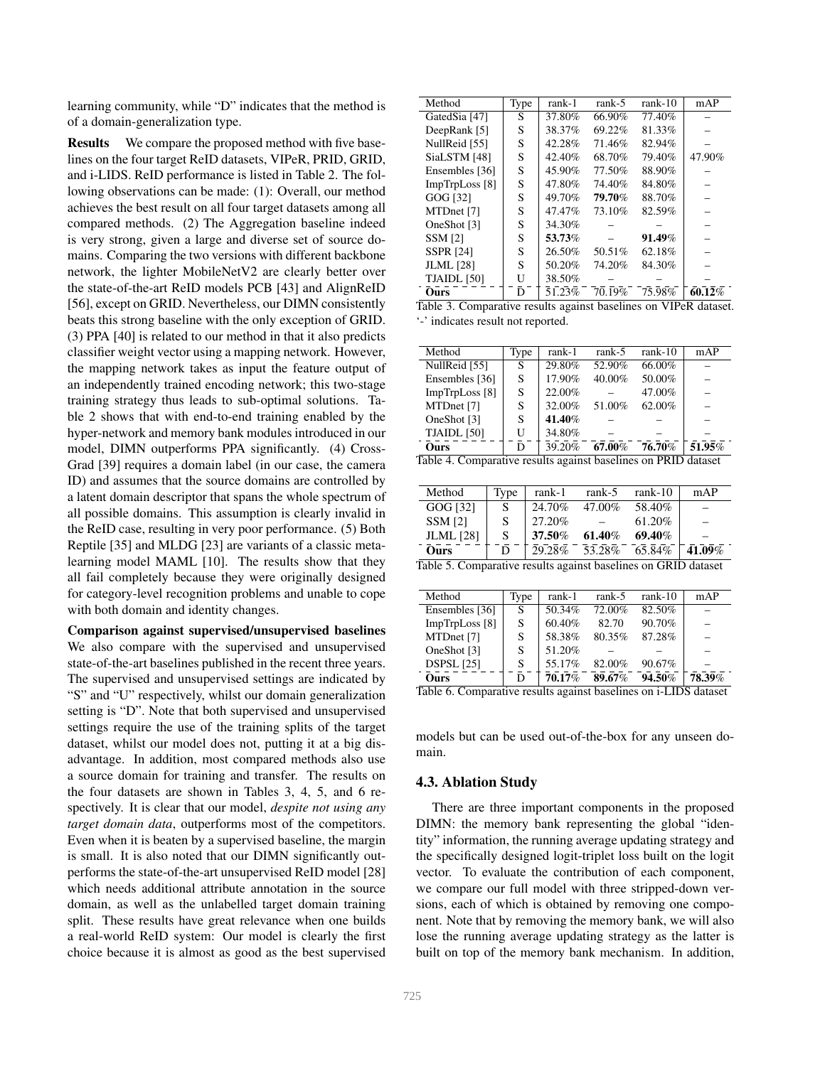learning community, while "D" indicates that the method is of a domain-generalization type.

Results We compare the proposed method with five baselines on the four target ReID datasets, VIPeR, PRID, GRID, and i-LIDS. ReID performance is listed in Table 2. The following observations can be made: (1): Overall, our method achieves the best result on all four target datasets among all compared methods. (2) The Aggregation baseline indeed is very strong, given a large and diverse set of source domains. Comparing the two versions with different backbone network, the lighter MobileNetV2 are clearly better over the state-of-the-art ReID models PCB [43] and AlignReID [56], except on GRID. Nevertheless, our DIMN consistently beats this strong baseline with the only exception of GRID. (3) PPA [40] is related to our method in that it also predicts classifier weight vector using a mapping network. However, the mapping network takes as input the feature output of an independently trained encoding network; this two-stage training strategy thus leads to sub-optimal solutions. Table 2 shows that with end-to-end training enabled by the hyper-network and memory bank modules introduced in our model, DIMN outperforms PPA significantly. (4) Cross-Grad [39] requires a domain label (in our case, the camera ID) and assumes that the source domains are controlled by a latent domain descriptor that spans the whole spectrum of all possible domains. This assumption is clearly invalid in the ReID case, resulting in very poor performance. (5) Both Reptile [35] and MLDG [23] are variants of a classic metalearning model MAML [10]. The results show that they all fail completely because they were originally designed for category-level recognition problems and unable to cope with both domain and identity changes.

Comparison against supervised/unsupervised baselines We also compare with the supervised and unsupervised state-of-the-art baselines published in the recent three years. The supervised and unsupervised settings are indicated by "S" and "U" respectively, whilst our domain generalization setting is "D". Note that both supervised and unsupervised settings require the use of the training splits of the target dataset, whilst our model does not, putting it at a big disadvantage. In addition, most compared methods also use a source domain for training and transfer. The results on the four datasets are shown in Tables 3, 4, 5, and 6 respectively. It is clear that our model, *despite not using any target domain data*, outperforms most of the competitors. Even when it is beaten by a supervised baseline, the margin is small. It is also noted that our DIMN significantly outperforms the state-of-the-art unsupervised ReID model [28] which needs additional attribute annotation in the source domain, as well as the unlabelled target domain training split. These results have great relevance when one builds a real-world ReID system: Our model is clearly the first choice because it is almost as good as the best supervised

| Method                                                           | Type | rank-1 | rank-5 | $rank-10$ | mAP    |
|------------------------------------------------------------------|------|--------|--------|-----------|--------|
| GatedSia [47]                                                    | S    | 37.80% | 66.90% | 77.40%    |        |
| DeepRank [5]                                                     | S    | 38.37% | 69.22% | 81.33%    |        |
| NullReid [55]                                                    | S    | 42.28% | 71.46% | 82.94%    |        |
| SiaLSTM [48]                                                     | S    | 42.40% | 68.70% | 79.40%    | 47.90% |
| Ensembles [36]                                                   | S    | 45.90% | 77.50% | 88.90%    |        |
| ImpTrpLoss [8]                                                   | S    | 47.80% | 74.40% | 84.80%    |        |
| GOG [32]                                                         | S    | 49.70% | 79.70% | 88.70%    |        |
| MTDnet [7]                                                       | S    | 47.47% | 73.10% | 82.59%    |        |
| OneShot [3]                                                      | S    | 34.30% |        |           |        |
| <b>SSM [2]</b>                                                   | S    | 53.73% |        | 91.49%    |        |
| <b>SSPR [24]</b>                                                 | S    | 26.50% | 50.51% | 62.18%    |        |
| <b>JLML</b> [28]                                                 | S    | 50.20% | 74.20% | 84.30%    |        |
| TJAIDL [50]                                                      | U    | 38.50% |        |           |        |
| <b>Ours</b>                                                      | D    | 51.23% | 70.19% | 75.98%    | 60.12% |
| Table 3. Comparative results against baselines on VIPeR dataset. |      |        |        |           |        |

'-' indicates result not reported.

| Method                                                                                                                                                                                                    | Type | rank-1 | $rank-5$ | $rank-10$ | mAP    |
|-----------------------------------------------------------------------------------------------------------------------------------------------------------------------------------------------------------|------|--------|----------|-----------|--------|
| NullReid [55]                                                                                                                                                                                             | S    | 29.80% | 52.90%   | 66.00%    |        |
| Ensembles [36]                                                                                                                                                                                            | S    | 17.90% | 40.00%   | 50.00%    |        |
| ImpTrpLoss [8]                                                                                                                                                                                            | S    | 22.00% |          | 47.00%    |        |
| MTDnet [7]                                                                                                                                                                                                | S    | 32.00% | 51.00%   | 62.00%    |        |
| OneShot <sup>[3]</sup>                                                                                                                                                                                    | S    | 41.40% |          |           |        |
| <b>TJAIDL</b> [50]                                                                                                                                                                                        | U    | 34.80% |          |           |        |
| Ours                                                                                                                                                                                                      | D    | 39.20% | 67.00%   | 76.70%    | 51.95% |
| $\mathbf{u} = \mathbf{v} + \mathbf{v}$ is point<br>T1117T<br>$\mathbf{1}$ $\mathbf{1}$<br>the contract of the contract of the contract of the contract of the contract of the contract of the contract of |      |        |          |           |        |

|  | Table 4. Comparative results against baselines on PRID dataset |  |
|--|----------------------------------------------------------------|--|
|  |                                                                |  |

| Ours             | D    | 29.28% | 53.28% | 65.84%    | 41.09% |
|------------------|------|--------|--------|-----------|--------|
| <b>JLML</b> [28] | S    | 37.50% | 61.40% | 69.40%    |        |
| <b>SSM [2]</b>   | S    | 27.20% |        | 61.20%    |        |
| GOG [32]         | S    | 24.70% | 47.00% | 58.40%    |        |
| Method           | Type | rank-1 | rank-5 | $rank-10$ | mAP    |
|                  |      |        |        |           |        |

Table 5. Comparative results against baselines on GRID dataset

| Method                                                             | Type | rank-1 | $rank-5$ | $rank-10$ | mAP    |  |
|--------------------------------------------------------------------|------|--------|----------|-----------|--------|--|
| Ensembles [36]                                                     | S    | 50.34% | 72.00%   | 82.50%    |        |  |
| ImpTrpLoss [8]                                                     | S    | 60.40% | 82.70    | 90.70%    |        |  |
| MTDnet [7]                                                         | S    | 58.38% | 80.35%   | 87.28%    |        |  |
| OneShot [3]                                                        | S    | 51.20% |          |           |        |  |
| <b>DSPSL</b> [25]                                                  | S    | 55.17% | 82.00%   | 90.67%    |        |  |
| Ours                                                               | D    | 70.17% | 89.67%   | 94.50%    | 78.39% |  |
| Table 6C<br>emperative results against beselines on i I IDS detect |      |        |          |           |        |  |

Table 6. Comparative results against baselines on i-LIDS dataset

models but can be used out-of-the-box for any unseen domain.

#### 4.3. Ablation Study

There are three important components in the proposed DIMN: the memory bank representing the global "identity" information, the running average updating strategy and the specifically designed logit-triplet loss built on the logit vector. To evaluate the contribution of each component, we compare our full model with three stripped-down versions, each of which is obtained by removing one component. Note that by removing the memory bank, we will also lose the running average updating strategy as the latter is built on top of the memory bank mechanism. In addition,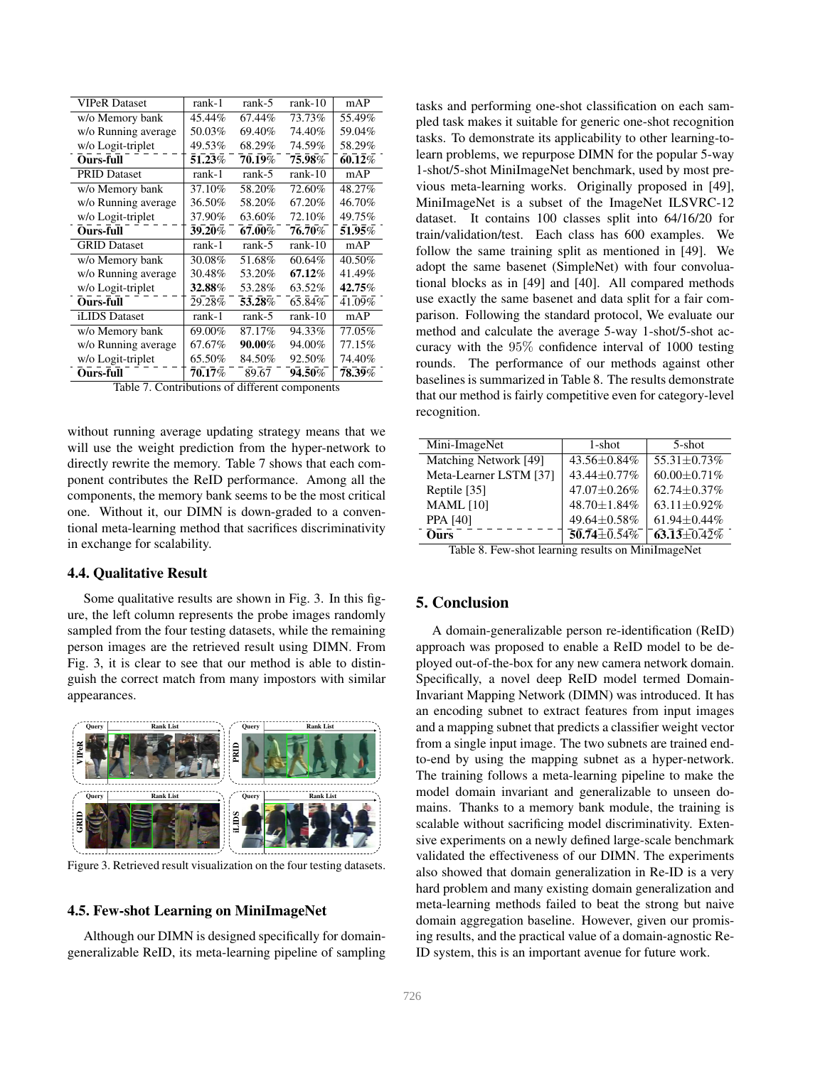| <b>VIPeR Dataset</b> | rank-1               | $rank-5$ | $rank-10$ | mAP    |
|----------------------|----------------------|----------|-----------|--------|
| w/o Memory bank      | 45.44%               | 67.44%   | 73.73%    | 55.49% |
| w/o Running average  | 50.03%               | 69.40%   | 74.40%    | 59.04% |
| w/o Logit-triplet    | 49.53%               | 68.29%   | 74.59%    | 58.29% |
| <b>Ours-full</b>     | $\overline{51.23\%}$ | 70.19%   | 75.98%    | 60.12% |
| <b>PRID Dataset</b>  | rank-1               | $rank-5$ | $rank-10$ | mAP    |
| w/o Memory bank      | 37.10%               | 58.20%   | 72.60%    | 48.27% |
| w/o Running average  | 36.50%               | 58.20%   | 67.20%    | 46.70% |
| w/o Logit-triplet    | 37.90%               | 63.60%   | 72.10%    | 49.75% |
| <b>Ours-full</b>     | 39.20%               | 67.00%   | 76.70%    | 51.95% |
| <b>GRID Dataset</b>  | rank-1               | rank-5   | $rank-10$ | mAP    |
| w/o Memory bank      | 30.08%               | 51.68%   | 60.64%    | 40.50% |
| w/o Running average  | 30.48%               | 53.20%   | 67.12%    | 41.49% |
| w/o Logit-triplet    | 32.88%               | 53.28%   | 63.52%    | 42.75% |
| <b>Ours-full</b>     | 29.28%               | 53.28%   | 65.84%    | 41.09% |
| iLIDS Dataset        | rank-1               | rank-5   | $rank-10$ | mAP    |
| w/o Memory bank      | 69.00%               | 87.17%   | 94.33%    | 77.05% |
| w/o Running average  | 67.67%               | 90.00%   | 94.00%    | 77.15% |
| w/o Logit-triplet    | 65.50%               | 84.50%   | 92.50%    | 74.40% |
| <b>Ours-full</b>     | $70.17\%$            | 89.67    | 94.50%    | 78.39% |

Table 7. Contributions of different components

without running average updating strategy means that we will use the weight prediction from the hyper-network to directly rewrite the memory. Table 7 shows that each component contributes the ReID performance. Among all the components, the memory bank seems to be the most critical one. Without it, our DIMN is down-graded to a conventional meta-learning method that sacrifices discriminativity in exchange for scalability.

#### 4.4. Qualitative Result

Some qualitative results are shown in Fig. 3. In this figure, the left column represents the probe images randomly sampled from the four testing datasets, while the remaining person images are the retrieved result using DIMN. From Fig. 3, it is clear to see that our method is able to distinguish the correct match from many impostors with similar appearances.



Figure 3. Retrieved result visualization on the four testing datasets.

### 4.5. Few-shot Learning on MiniImageNet

Although our DIMN is designed specifically for domaingeneralizable ReID, its meta-learning pipeline of sampling tasks and performing one-shot classification on each sampled task makes it suitable for generic one-shot recognition tasks. To demonstrate its applicability to other learning-tolearn problems, we repurpose DIMN for the popular 5-way 1-shot/5-shot MiniImageNet benchmark, used by most previous meta-learning works. Originally proposed in [49], MiniImageNet is a subset of the ImageNet ILSVRC-12 dataset. It contains 100 classes split into 64/16/20 for train/validation/test. Each class has 600 examples. We follow the same training split as mentioned in [49]. We adopt the same basenet (SimpleNet) with four convoluational blocks as in [49] and [40]. All compared methods use exactly the same basenet and data split for a fair comparison. Following the standard protocol, We evaluate our method and calculate the average 5-way 1-shot/5-shot accuracy with the 95% confidence interval of 1000 testing rounds. The performance of our methods against other baselines is summarized in Table 8. The results demonstrate that our method is fairly competitive even for category-level recognition.

| Mini-ImageNet                                            | $1$ -shot   | $5$ -shot          |  |  |  |  |
|----------------------------------------------------------|-------------|--------------------|--|--|--|--|
| Matching Network [49]                                    | 43.56±0.84% | 55.31±0.73%        |  |  |  |  |
| Meta-Learner LSTM [37]                                   | 43.44±0.77% | $60.00 \pm 0.71\%$ |  |  |  |  |
| Reptile [35]                                             | 47.07±0.26% | $62.74 \pm 0.37\%$ |  |  |  |  |
| <b>MAML</b> [10]                                         | 48.70±1.84% | 63.11 $\pm$ 0.92%  |  |  |  |  |
| <b>PPA [40]</b>                                          | 49.64±0.58% | $61.94 \pm 0.44\%$ |  |  |  |  |
| Ours                                                     | 50.74±0.54% | $63.13 \pm 0.42\%$ |  |  |  |  |
| Eary abot loaming results on MiniImegaMet<br>$T_2L1_2$ 0 |             |                    |  |  |  |  |

Table 8. Few-shot learning results on MiniImageNet

# 5. Conclusion

A domain-generalizable person re-identification (ReID) approach was proposed to enable a ReID model to be deployed out-of-the-box for any new camera network domain. Specifically, a novel deep ReID model termed Domain-Invariant Mapping Network (DIMN) was introduced. It has an encoding subnet to extract features from input images and a mapping subnet that predicts a classifier weight vector from a single input image. The two subnets are trained endto-end by using the mapping subnet as a hyper-network. The training follows a meta-learning pipeline to make the model domain invariant and generalizable to unseen domains. Thanks to a memory bank module, the training is scalable without sacrificing model discriminativity. Extensive experiments on a newly defined large-scale benchmark validated the effectiveness of our DIMN. The experiments also showed that domain generalization in Re-ID is a very hard problem and many existing domain generalization and meta-learning methods failed to beat the strong but naive domain aggregation baseline. However, given our promising results, and the practical value of a domain-agnostic Re-ID system, this is an important avenue for future work.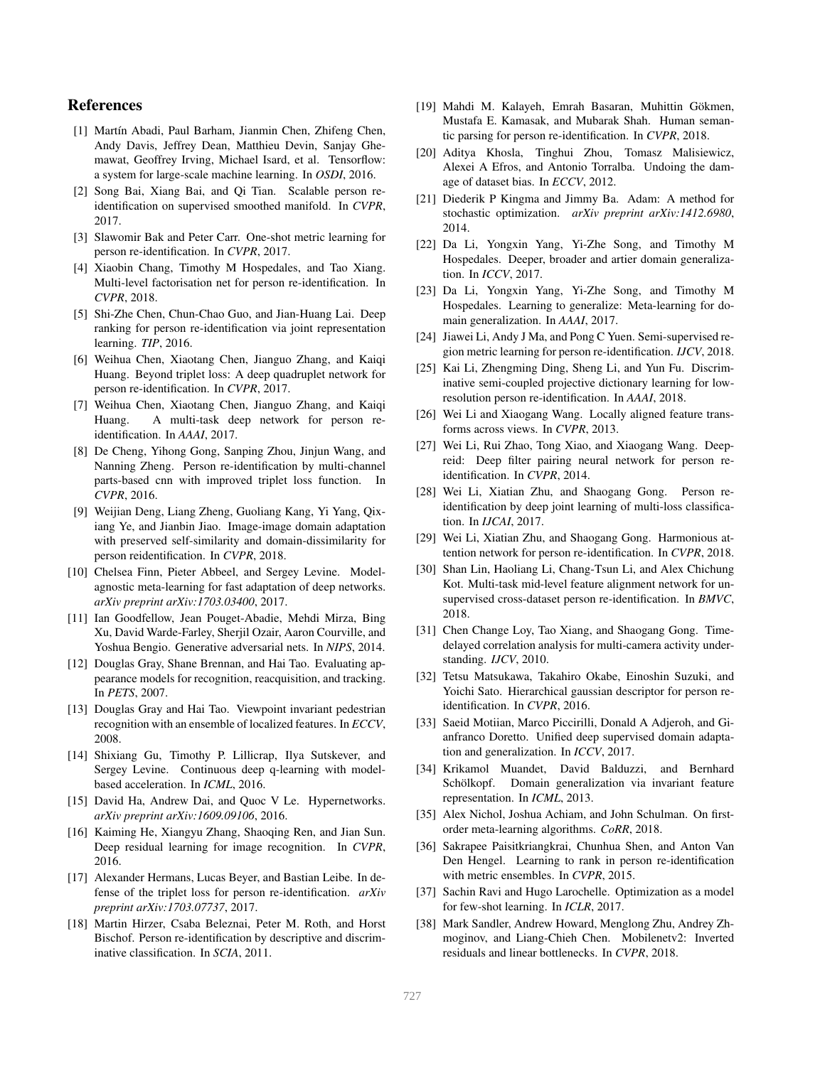## References

- [1] Martín Abadi, Paul Barham, Jianmin Chen, Zhifeng Chen, Andy Davis, Jeffrey Dean, Matthieu Devin, Sanjay Ghemawat, Geoffrey Irving, Michael Isard, et al. Tensorflow: a system for large-scale machine learning. In *OSDI*, 2016.
- [2] Song Bai, Xiang Bai, and Qi Tian. Scalable person reidentification on supervised smoothed manifold. In *CVPR*, 2017.
- [3] Slawomir Bak and Peter Carr. One-shot metric learning for person re-identification. In *CVPR*, 2017.
- [4] Xiaobin Chang, Timothy M Hospedales, and Tao Xiang. Multi-level factorisation net for person re-identification. In *CVPR*, 2018.
- [5] Shi-Zhe Chen, Chun-Chao Guo, and Jian-Huang Lai. Deep ranking for person re-identification via joint representation learning. *TIP*, 2016.
- [6] Weihua Chen, Xiaotang Chen, Jianguo Zhang, and Kaiqi Huang. Beyond triplet loss: A deep quadruplet network for person re-identification. In *CVPR*, 2017.
- [7] Weihua Chen, Xiaotang Chen, Jianguo Zhang, and Kaiqi Huang. A multi-task deep network for person reidentification. In *AAAI*, 2017.
- [8] De Cheng, Yihong Gong, Sanping Zhou, Jinjun Wang, and Nanning Zheng. Person re-identification by multi-channel parts-based cnn with improved triplet loss function. In *CVPR*, 2016.
- [9] Weijian Deng, Liang Zheng, Guoliang Kang, Yi Yang, Qixiang Ye, and Jianbin Jiao. Image-image domain adaptation with preserved self-similarity and domain-dissimilarity for person reidentification. In *CVPR*, 2018.
- [10] Chelsea Finn, Pieter Abbeel, and Sergey Levine. Modelagnostic meta-learning for fast adaptation of deep networks. *arXiv preprint arXiv:1703.03400*, 2017.
- [11] Ian Goodfellow, Jean Pouget-Abadie, Mehdi Mirza, Bing Xu, David Warde-Farley, Sherjil Ozair, Aaron Courville, and Yoshua Bengio. Generative adversarial nets. In *NIPS*, 2014.
- [12] Douglas Gray, Shane Brennan, and Hai Tao. Evaluating appearance models for recognition, reacquisition, and tracking. In *PETS*, 2007.
- [13] Douglas Gray and Hai Tao. Viewpoint invariant pedestrian recognition with an ensemble of localized features. In *ECCV*, 2008.
- [14] Shixiang Gu, Timothy P. Lillicrap, Ilya Sutskever, and Sergey Levine. Continuous deep q-learning with modelbased acceleration. In *ICML*, 2016.
- [15] David Ha, Andrew Dai, and Quoc V Le. Hypernetworks. *arXiv preprint arXiv:1609.09106*, 2016.
- [16] Kaiming He, Xiangyu Zhang, Shaoqing Ren, and Jian Sun. Deep residual learning for image recognition. In *CVPR*, 2016.
- [17] Alexander Hermans, Lucas Beyer, and Bastian Leibe. In defense of the triplet loss for person re-identification. *arXiv preprint arXiv:1703.07737*, 2017.
- [18] Martin Hirzer, Csaba Beleznai, Peter M. Roth, and Horst Bischof. Person re-identification by descriptive and discriminative classification. In *SCIA*, 2011.
- [19] Mahdi M. Kalayeh, Emrah Basaran, Muhittin Gökmen, Mustafa E. Kamasak, and Mubarak Shah. Human semantic parsing for person re-identification. In *CVPR*, 2018.
- [20] Aditya Khosla, Tinghui Zhou, Tomasz Malisiewicz, Alexei A Efros, and Antonio Torralba. Undoing the damage of dataset bias. In *ECCV*, 2012.
- [21] Diederik P Kingma and Jimmy Ba. Adam: A method for stochastic optimization. *arXiv preprint arXiv:1412.6980*, 2014.
- [22] Da Li, Yongxin Yang, Yi-Zhe Song, and Timothy M Hospedales. Deeper, broader and artier domain generalization. In *ICCV*, 2017.
- [23] Da Li, Yongxin Yang, Yi-Zhe Song, and Timothy M Hospedales. Learning to generalize: Meta-learning for domain generalization. In *AAAI*, 2017.
- [24] Jiawei Li, Andy J Ma, and Pong C Yuen. Semi-supervised region metric learning for person re-identification. *IJCV*, 2018.
- [25] Kai Li, Zhengming Ding, Sheng Li, and Yun Fu. Discriminative semi-coupled projective dictionary learning for lowresolution person re-identification. In *AAAI*, 2018.
- [26] Wei Li and Xiaogang Wang. Locally aligned feature transforms across views. In *CVPR*, 2013.
- [27] Wei Li, Rui Zhao, Tong Xiao, and Xiaogang Wang. Deepreid: Deep filter pairing neural network for person reidentification. In *CVPR*, 2014.
- [28] Wei Li, Xiatian Zhu, and Shaogang Gong. Person reidentification by deep joint learning of multi-loss classification. In *IJCAI*, 2017.
- [29] Wei Li, Xiatian Zhu, and Shaogang Gong. Harmonious attention network for person re-identification. In *CVPR*, 2018.
- [30] Shan Lin, Haoliang Li, Chang-Tsun Li, and Alex Chichung Kot. Multi-task mid-level feature alignment network for unsupervised cross-dataset person re-identification. In *BMVC*, 2018.
- [31] Chen Change Loy, Tao Xiang, and Shaogang Gong. Timedelayed correlation analysis for multi-camera activity understanding. *IJCV*, 2010.
- [32] Tetsu Matsukawa, Takahiro Okabe, Einoshin Suzuki, and Yoichi Sato. Hierarchical gaussian descriptor for person reidentification. In *CVPR*, 2016.
- [33] Saeid Motiian, Marco Piccirilli, Donald A Adjeroh, and Gianfranco Doretto. Unified deep supervised domain adaptation and generalization. In *ICCV*, 2017.
- [34] Krikamol Muandet, David Balduzzi, and Bernhard Schölkopf. Domain generalization via invariant feature representation. In *ICML*, 2013.
- [35] Alex Nichol, Joshua Achiam, and John Schulman. On firstorder meta-learning algorithms. *CoRR*, 2018.
- [36] Sakrapee Paisitkriangkrai, Chunhua Shen, and Anton Van Den Hengel. Learning to rank in person re-identification with metric ensembles. In *CVPR*, 2015.
- [37] Sachin Ravi and Hugo Larochelle. Optimization as a model for few-shot learning. In *ICLR*, 2017.
- [38] Mark Sandler, Andrew Howard, Menglong Zhu, Andrey Zhmoginov, and Liang-Chieh Chen. Mobilenetv2: Inverted residuals and linear bottlenecks. In *CVPR*, 2018.